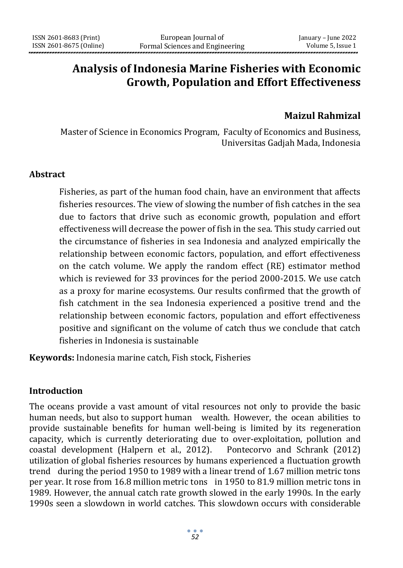# **Analysis of Indonesia Marine Fisheries with Economic Growth, Population and Effort Effectiveness**

# **Maizul Rahmizal**

Master of Science in Economics Program, Faculty of Economics and Business, Universitas Gadjah Mada, Indonesia

#### **Abstract**

Fisheries, as part of the human food chain, have an environment that affects fisheries resources. The view of slowing the number of fish catches in the sea due to factors that drive such as economic growth, population and effort effectiveness will decrease the power of fish in the sea. This study carried out the circumstance of fisheries in sea Indonesia and analyzed empirically the relationship between economic factors, population, and effort effectiveness on the catch volume. We apply the random effect (RE) estimator method which is reviewed for 33 provinces for the period 2000-2015. We use catch as a proxy for marine ecosystems. Our results confirmed that the growth of fish catchment in the sea Indonesia experienced a positive trend and the relationship between economic factors, population and effort effectiveness positive and significant on the volume of catch thus we conclude that catch fisheries in Indonesia is sustainable

**Keywords:** Indonesia marine catch, Fish stock, Fisheries

#### **Introduction**

The oceans provide a vast amount of vital resources not only to provide the basic human needs, but also to support human wealth. However, the ocean abilities to provide sustainable benefits for human well-being is limited by its regeneration capacity, which is currently deteriorating due to over-exploitation, pollution and coastal development (Halpern et al., 2012). Pontecorvo and Schrank (2012) utilization of global fisheries resources by humans experienced a fluctuation growth trend during the period 1950 to 1989 with a linear trend of 1.67 million metric tons per year. It rose from 16.8 million metric tons in 1950 to 81.9 million metric tons in 1989. However, the annual catch rate growth slowed in the early 1990s. In the early 1990s seen a slowdown in world catches. This slowdown occurs with considerable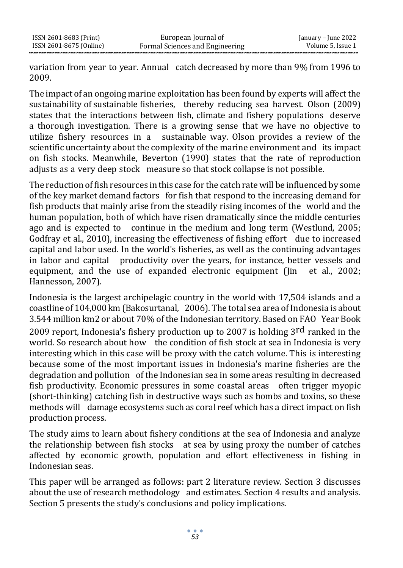variation from year to year. Annual catch decreased by more than 9% from 1996 to 2009.

The impact of an ongoing marine exploitation has been found by experts will affect the sustainability of sustainable fisheries, thereby reducing sea harvest. Olson (2009) states that the interactions between fish, climate and fishery populations deserve a thorough investigation. There is a growing sense that we have no objective to utilize fishery resources in a sustainable way. Olson provides a review of the scientific uncertainty about the complexity of the marine environment and its impact on fish stocks. Meanwhile, Beverton (1990) states that the rate of reproduction adjusts as a very deep stock measure so that stock collapse is not possible.

The reduction of fish resources in this case for the catch rate will be influenced by some of the key market demand factors for fish that respond to the increasing demand for fish products that mainly arise from the steadily rising incomes of the world and the human population, both of which have risen dramatically since the middle centuries ago and is expected to continue in the medium and long term (Westlund, 2005; Godfray et al., 2010), increasing the effectiveness of fishing effort due to increased capital and labor used. In the world's fisheries, as well as the continuing advantages in labor and capital productivity over the years, for instance, better vessels and equipment, and the use of expanded electronic equipment (Jin et al., 2002; Hannesson, 2007).

Indonesia is the largest archipelagic country in the world with 17,504 islands and a coastline of 104,000 km (Bakosurtanal, 2006). The total sea area of Indonesia is about 3.544 million km2 or about 70% of the Indonesian territory. Based on FAO Year Book 2009 report, Indonesia's fishery production up to 2007 is holding 3rd ranked in the world. So research about how the condition of fish stock at sea in Indonesia is very interesting which in this case will be proxy with the catch volume. This is interesting because some of the most important issues in Indonesia's marine fisheries are the degradation and pollution of the Indonesian sea in some areas resulting in decreased fish productivity. Economic pressures in some coastal areas often trigger myopic (short-thinking) catching fish in destructive ways such as bombs and toxins, so these methods will damage ecosystems such as coral reef which has a direct impact on fish production process.

The study aims to learn about fishery conditions at the sea of Indonesia and analyze the relationship between fish stocks at sea by using proxy the number of catches affected by economic growth, population and effort effectiveness in fishing in Indonesian seas.

This paper will be arranged as follows: part 2 literature review. Section 3 discusses about the use of research methodology and estimates. Section 4 results and analysis. Section 5 presents the study's conclusions and policy implications.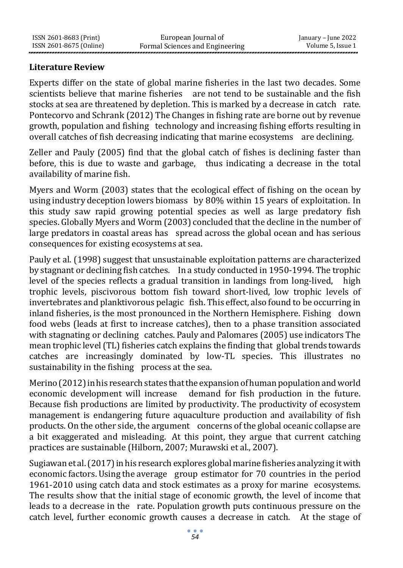### **Literature Review**

Experts differ on the state of global marine fisheries in the last two decades. Some scientists believe that marine fisheries are not tend to be sustainable and the fish stocks at sea are threatened by depletion. This is marked by a decrease in catch rate. Pontecorvo and Schrank (2012) The Changes in fishing rate are borne out by revenue growth, population and fishing technology and increasing fishing efforts resulting in overall catches of fish decreasing indicating that marine ecosystems are declining.

Zeller and Pauly (2005) find that the global catch of fishes is declining faster than before, this is due to waste and garbage, thus indicating a decrease in the total availability of marine fish.

Myers and Worm (2003) states that the ecological effect of fishing on the ocean by using industry deception lowers biomass by 80% within 15 years of exploitation. In this study saw rapid growing potential species as well as large predatory fish species. Globally Myers and Worm (2003) concluded that the decline in the number of large predators in coastal areas has spread across the global ocean and has serious consequences for existing ecosystems at sea.

Pauly et al. (1998) suggest that unsustainable exploitation patterns are characterized by stagnant or declining fish catches. In a study conducted in 1950-1994. The trophic level of the species reflects a gradual transition in landings from long-lived, high trophic levels, piscivorous bottom fish toward short-lived, low trophic levels of invertebrates and planktivorous pelagic fish. This effect, also found to be occurring in inland fisheries, is the most pronounced in the Northern Hemisphere. Fishing down food webs (leads at first to increase catches), then to a phase transition associated with stagnating or declining catches. Pauly and Palomares (2005) use indicators The mean trophic level (TL) fisheries catch explains the finding that global trends towards catches are increasingly dominated by low-TL species. This illustrates no sustainability in the fishing process at the sea.

Merino (2012) in his research states that the expansion of human population and world economic development will increase demand for fish production in the future. Because fish productions are limited by productivity. The productivity of ecosystem management is endangering future aquaculture production and availability of fish products. On the other side, the argument concerns of the global oceanic collapse are a bit exaggerated and misleading. At this point, they argue that current catching practices are sustainable (Hilborn, 2007; Murawski et al., 2007).

Sugiawan et al. (2017) in his research explores global marine fisheries analyzing it with economic factors. Using the average group estimator for 70 countries in the period 1961-2010 using catch data and stock estimates as a proxy for marine ecosystems. The results show that the initial stage of economic growth, the level of income that leads to a decrease in the rate. Population growth puts continuous pressure on the catch level, further economic growth causes a decrease in catch. At the stage of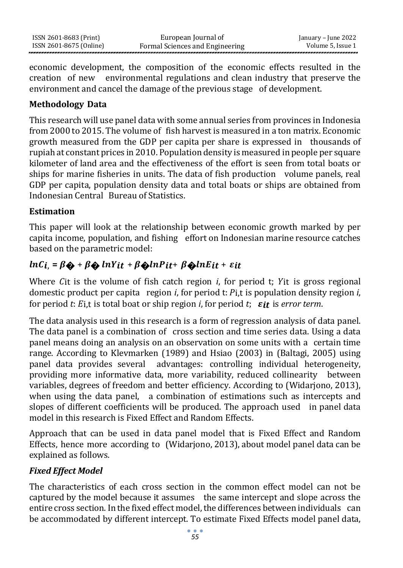| ISSN 2601-8683 (Print)  | European Journal of             | January – June 2022 |
|-------------------------|---------------------------------|---------------------|
| ISSN 2601-8675 (Online) | Formal Sciences and Engineering | Volume 5, Issue 1   |

economic development, the composition of the economic effects resulted in the creation of new environmental regulations and clean industry that preserve the environment and cancel the damage of the previous stage of development.

# **Methodology Data**

This research will use panel data with some annual series from provinces in Indonesia from 2000 to 2015. The volume of fish harvest is measured in a ton matrix. Economic growth measured from the GDP per capita per share is expressed in thousands of rupiah at constant prices in 2010. Population density is measured in people per square kilometer of land area and the effectiveness of the effort is seen from total boats or ships for marine fisheries in units. The data of fish production volume panels, real GDP per capita, population density data and total boats or ships are obtained from Indonesian Central Bureau of Statistics.

# **Estimation**

This paper will look at the relationship between economic growth marked by per capita income, population, and fishing effort on Indonesian marine resource catches based on the parametric model:

# $ln C_i = \beta \otimes + \beta \otimes ln Y_i t + \beta \otimes ln P_i t + \beta \otimes ln E_i t + \varepsilon i t$

Where  $C_{it}$  is the volume of fish catch region *i*, for period t;  $Y_{it}$  is gross regional domestic product per capita region *i*, for period t: *Pi*,t is population density region *i*, for period *t*:  $E_{i,t}$  is total boat or ship region *i*, for period *t*;  $\varepsilon_{it}$  is *error term*.

The data analysis used in this research is a form of regression analysis of data panel. The data panel is a combination of cross section and time series data. Using a data panel means doing an analysis on an observation on some units with a certain time range. According to Klevmarken (1989) and Hsiao (2003) in (Baltagi, 2005) using panel data provides several advantages: controlling individual heterogeneity, providing more informative data, more variability, reduced collinearity between variables, degrees of freedom and better efficiency. According to (Widarjono, 2013), when using the data panel, a combination of estimations such as intercepts and slopes of different coefficients will be produced. The approach used in panel data model in this research is Fixed Effect and Random Effects.

Approach that can be used in data panel model that is Fixed Effect and Random Effects, hence more according to (Widarjono, 2013), about model panel data can be explained as follows.

# *Fixed Effect Model*

The characteristics of each cross section in the common effect model can not be captured by the model because it assumes the same intercept and slope across the entire cross section. In the fixed effect model, the differences between individuals can be accommodated by different intercept. To estimate Fixed Effects model panel data,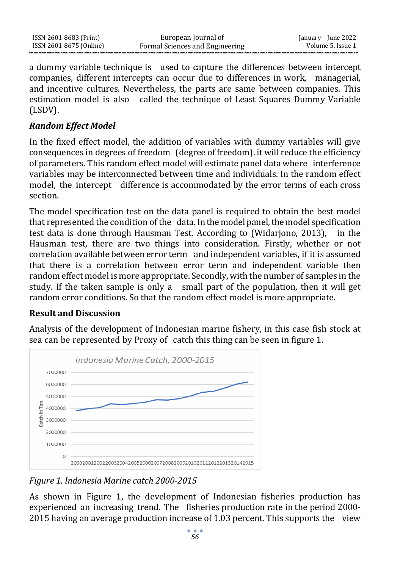| ISSN 2601-8683 (Print)  | European Journal of             | January – June 2022 |
|-------------------------|---------------------------------|---------------------|
| ISSN 2601-8675 (Online) | Formal Sciences and Engineering | Volume 5. Issue 1   |

a dummy variable technique is used to capture the differences between intercept companies, different intercepts can occur due to differences in work, managerial, and incentive cultures. Nevertheless, the parts are same between companies. This estimation model is also called the technique of Least Squares Dummy Variable (LSDV).

### *Random Effect Model*

In the fixed effect model, the addition of variables with dummy variables will give consequences in degrees of freedom (degree of freedom). it will reduce the efficiency of parameters. This random effect model will estimate panel data where interference variables may be interconnected between time and individuals. In the random effect model, the intercept difference is accommodated by the error terms of each cross section.

The model specification test on the data panel is required to obtain the best model that represented the condition of the data. In the model panel, the model specification test data is done through Hausman Test. According to (Widarjono, 2013), in the Hausman test, there are two things into consideration. Firstly, whether or not correlation available between error term and independent variables, if it is assumed that there is a correlation between error term and independent variable then random effect model is more appropriate. Secondly, with the number of samples in the study. If the taken sample is only a small part of the population, then it will get random error conditions. So that the random effect model is more appropriate.

# **Result and Discussion**

Analysis of the development of Indonesian marine fishery, in this case fish stock at sea can be represented by Proxy of catch this thing can be seen in figure 1.



*Figure 1. Indonesia Marine catch 2000-2015*

As shown in Figure 1, the development of Indonesian fisheries production has experienced an increasing trend. The fisheries production rate in the period 2000- 2015 having an average production increase of 1.03 percent. This supports the view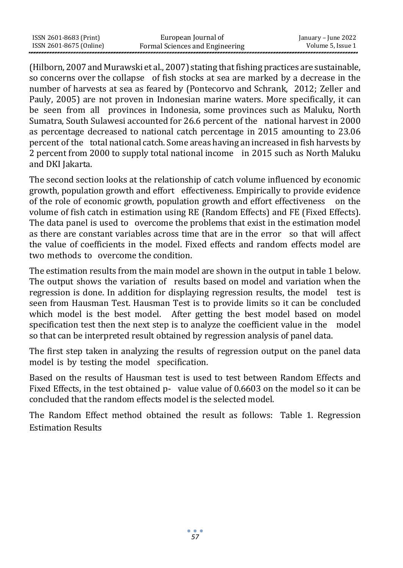| ISSN 2601-8683 (Print)  | European Journal of             | January – June 2022 |
|-------------------------|---------------------------------|---------------------|
| ISSN 2601-8675 (Online) | Formal Sciences and Engineering | Volume 5. Issue 1   |

(Hilborn, 2007 and Murawski et al., 2007) stating thatfishing practices are sustainable, so concerns over the collapse of fish stocks at sea are marked by a decrease in the number of harvests at sea as feared by (Pontecorvo and Schrank, 2012; Zeller and Pauly, 2005) are not proven in Indonesian marine waters. More specifically, it can be seen from all provinces in Indonesia, some provinces such as Maluku, North Sumatra, South Sulawesi accounted for 26.6 percent of the national harvest in 2000 as percentage decreased to national catch percentage in 2015 amounting to 23.06 percent of the total national catch. Some areas having an increased in fish harvests by 2 percent from 2000 to supply total national income in 2015 such as North Maluku and DKI Jakarta.

The second section looks at the relationship of catch volume influenced by economic growth, population growth and effort effectiveness. Empirically to provide evidence of the role of economic growth, population growth and effort effectiveness on the volume of fish catch in estimation using RE (Random Effects) and FE (Fixed Effects). The data panel is used to overcome the problems that exist in the estimation model as there are constant variables across time that are in the error so that will affect the value of coefficients in the model. Fixed effects and random effects model are two methods to overcome the condition.

The estimation results from the main model are shown in the output in table 1 below. The output shows the variation of results based on model and variation when the regression is done. In addition for displaying regression results, the model test is seen from Hausman Test. Hausman Test is to provide limits so it can be concluded which model is the best model. After getting the best model based on model specification test then the next step is to analyze the coefficient value in the model so that can be interpreted result obtained by regression analysis of panel data.

The first step taken in analyzing the results of regression output on the panel data model is by testing the model specification.

Based on the results of Hausman test is used to test between Random Effects and Fixed Effects, in the test obtained p- value value of 0.6603 on the model so it can be concluded that the random effects model is the selected model.

The Random Effect method obtained the result as follows: Table 1. Regression Estimation Results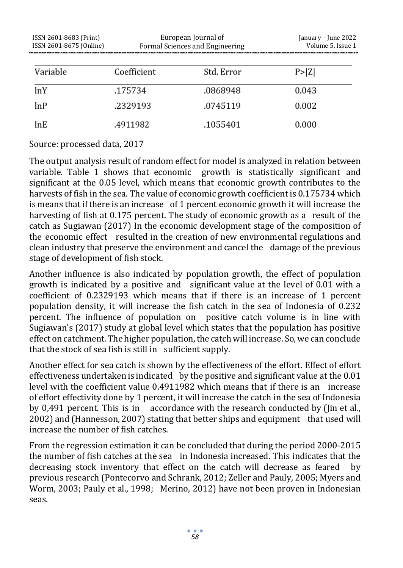| ISSN 2601-8683 (Print)<br>ISSN 2601-8675 (Online) | European Journal of<br>Formal Sciences and Engineering |            | January - June 2022<br>Volume 5, Issue 1 |
|---------------------------------------------------|--------------------------------------------------------|------------|------------------------------------------|
| Variable                                          | Coefficient                                            | Std. Error | P >  Z                                   |
| lnY                                               | .175734                                                | .0868948   | 0.043                                    |
| lnP                                               | .2329193                                               | .0745119   | 0.002                                    |
| lnE                                               | .4911982                                               | .1055401   | 0.000                                    |

Source: processed data, 2017

The output analysis result of random effect for model is analyzed in relation between variable. Table 1 shows that economic growth is statistically significant and significant at the 0.05 level, which means that economic growth contributes to the harvests of fish in the sea. The value of economic growth coefficient is 0.175734 which is means that if there is an increase of 1 percent economic growth it will increase the harvesting of fish at 0.175 percent. The study of economic growth as a result of the catch as Sugiawan (2017) In the economic development stage of the composition of the economic effect resulted in the creation of new environmental regulations and clean industry that preserve the environment and cancel the damage of the previous stage of development of fish stock.

Another influence is also indicated by population growth, the effect of population growth is indicated by a positive and significant value at the level of 0.01 with a coefficient of 0.2329193 which means that if there is an increase of 1 percent population density, it will increase the fish catch in the sea of Indonesia of 0.232 percent. The influence of population on positive catch volume is in line with Sugiawan's (2017) study at global level which states that the population has positive effect on catchment. The higher population, the catch will increase. So, we can conclude that the stock of sea fish is still in sufficient supply.

Another effect for sea catch is shown by the effectiveness of the effort. Effect of effort effectiveness undertaken is indicated by the positive and significant value at the 0.01 level with the coefficient value 0.4911982 which means that if there is an increase of effort effectivity done by 1 percent, it will increase the catch in the sea of Indonesia by 0,491 percent. This is in accordance with the research conducted by (Jin et al., 2002) and (Hannesson, 2007) stating that better ships and equipment that used will increase the number of fish catches.

From the regression estimation it can be concluded that during the period 2000-2015 the number of fish catches at the sea in Indonesia increased. This indicates that the decreasing stock inventory that effect on the catch will decrease as feared by previous research (Pontecorvo and Schrank, 2012; Zeller and Pauly, 2005; Myers and Worm, 2003; Pauly et al., 1998; Merino, 2012) have not been proven in Indonesian seas.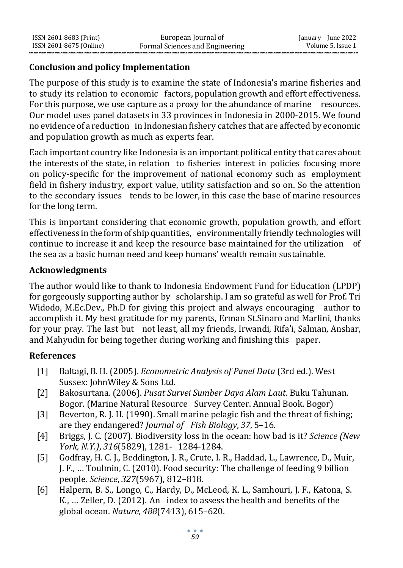### **Conclusion and policy Implementation**

The purpose of this study is to examine the state of Indonesia's marine fisheries and to study its relation to economic factors, population growth and effort effectiveness. For this purpose, we use capture as a proxy for the abundance of marine resources. Our model uses panel datasets in 33 provinces in Indonesia in 2000-2015. We found no evidence of a reduction in Indonesian fishery catches that are affected by economic and population growth as much as experts fear.

Each important country like Indonesia is an important political entity that cares about the interests of the state, in relation to fisheries interest in policies focusing more on policy-specific for the improvement of national economy such as employment field in fishery industry, export value, utility satisfaction and so on. So the attention to the secondary issues tends to be lower, in this case the base of marine resources for the long term.

This is important considering that economic growth, population growth, and effort effectiveness intheform of shipquantities, environmentally friendly technologies will continue to increase it and keep the resource base maintained for the utilization of the sea as a basic human need and keep humans' wealth remain sustainable.

### **Acknowledgments**

The author would like to thank to Indonesia Endowment Fund for Education (LPDP) for gorgeously supporting author by scholarship. I am so grateful as well for Prof. Tri Widodo, M.Ec.Dev., Ph.D for giving this project and always encouraging author to accomplish it. My best gratitude for my parents, Erman St.Sinaro and Marlini, thanks for your pray. The last but not least, all my friends, Irwandi, Rifa'i, Salman, Anshar, and Mahyudin for being together during working and finishing this paper.

### **References**

- [1] Baltagi, B. H. (2005). *Econometric Analysis of Panel Data* (3rd ed.). West Sussex: JohnWiley & Sons Ltd.
- [2] Bakosurtana. (2006). *Pusat Survei Sumber Daya Alam Laut*. Buku Tahunan. Bogor. (Marine Natural Resource Survey Center. Annual Book. Bogor)
- [3] Beverton, R. J. H. (1990). Small marine pelagic fish and the threat of fishing; are they endangered? *Journal of Fish Biology*, *37*, 5–16.
- [4] Briggs, J. C. (2007). Biodiversity loss in the ocean: how bad is it? *Science (New York, N.Y.)*, *316*(5829), 1281- 1284-1284.
- [5] Godfray, H. C. J., Beddington, J. R., Crute, I. R., Haddad, L., Lawrence, D., Muir, J. F., … Toulmin, C. (2010). Food security: The challenge of feeding 9 billion people. *Science*, *327*(5967), 812–818.
- [6] Halpern, B. S., Longo, C., Hardy, D., McLeod, K. L., Samhouri, J. F., Katona, S. K., … Zeller, D. (2012). An index to assess the health and benefits of the global ocean. *Nature*, *488*(7413), 615–620.